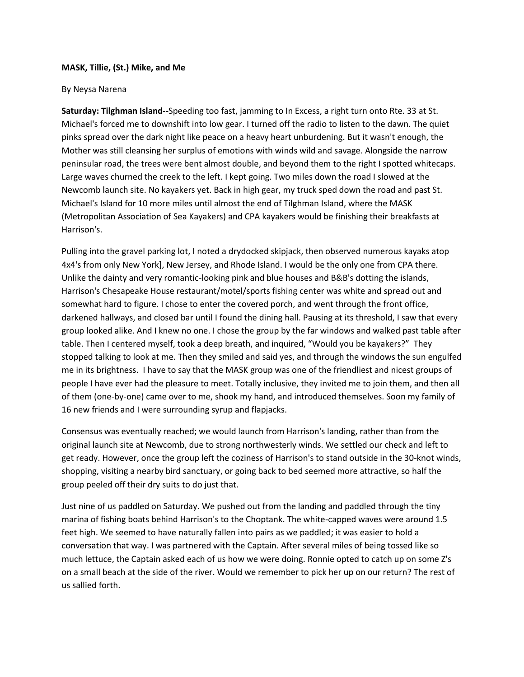## **MASK, Tillie, (St.) Mike, and Me**

## By Neysa Narena

**Saturday: Tilghman Island--**Speeding too fast, jamming to In Excess, a right turn onto Rte. 33 at St. Michael's forced me to downshift into low gear. I turned off the radio to listen to the dawn. The quiet pinks spread over the dark night like peace on a heavy heart unburdening. But it wasn't enough, the Mother was still cleansing her surplus of emotions with winds wild and savage. Alongside the narrow peninsular road, the trees were bent almost double, and beyond them to the right I spotted whitecaps. Large waves churned the creek to the left. I kept going. Two miles down the road I slowed at the Newcomb launch site. No kayakers yet. Back in high gear, my truck sped down the road and past St. Michael's Island for 10 more miles until almost the end of Tilghman Island, where the MASK (Metropolitan Association of Sea Kayakers) and CPA kayakers would be finishing their breakfasts at Harrison's.

Pulling into the gravel parking lot, I noted a drydocked skipjack, then observed numerous kayaks atop 4x4's from only New York], New Jersey, and Rhode Island. I would be the only one from CPA there. Unlike the dainty and very romantic-looking pink and blue houses and B&B's dotting the islands, Harrison's Chesapeake House restaurant/motel/sports fishing center was white and spread out and somewhat hard to figure. I chose to enter the covered porch, and went through the front office, darkened hallways, and closed bar until I found the dining hall. Pausing at its threshold, I saw that every group looked alike. And I knew no one. I chose the group by the far windows and walked past table after table. Then I centered myself, took a deep breath, and inquired, "Would you be kayakers?" They stopped talking to look at me. Then they smiled and said yes, and through the windows the sun engulfed me in its brightness. I have to say that the MASK group was one of the friendliest and nicest groups of people I have ever had the pleasure to meet. Totally inclusive, they invited me to join them, and then all of them (one-by-one) came over to me, shook my hand, and introduced themselves. Soon my family of 16 new friends and I were surrounding syrup and flapjacks.

Consensus was eventually reached; we would launch from Harrison's landing, rather than from the original launch site at Newcomb, due to strong northwesterly winds. We settled our check and left to get ready. However, once the group left the coziness of Harrison's to stand outside in the 30-knot winds, shopping, visiting a nearby bird sanctuary, or going back to bed seemed more attractive, so half the group peeled off their dry suits to do just that.

Just nine of us paddled on Saturday. We pushed out from the landing and paddled through the tiny marina of fishing boats behind Harrison's to the Choptank. The white-capped waves were around 1.5 feet high. We seemed to have naturally fallen into pairs as we paddled; it was easier to hold a conversation that way. I was partnered with the Captain. After several miles of being tossed like so much lettuce, the Captain asked each of us how we were doing. Ronnie opted to catch up on some Z's on a small beach at the side of the river. Would we remember to pick her up on our return? The rest of us sallied forth.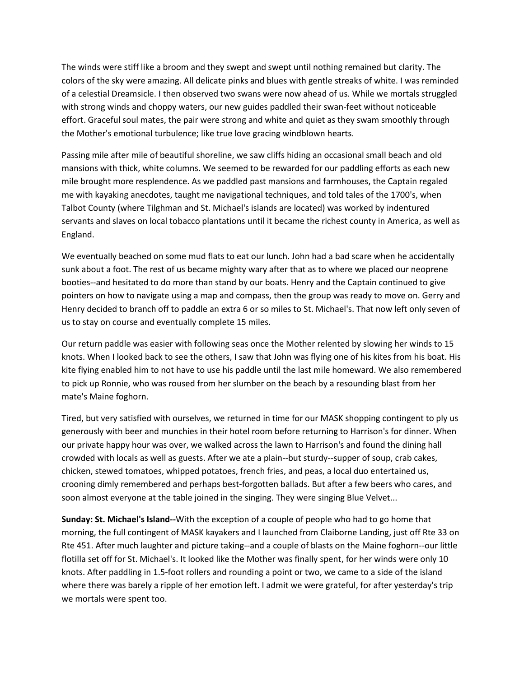The winds were stiff like a broom and they swept and swept until nothing remained but clarity. The colors of the sky were amazing. All delicate pinks and blues with gentle streaks of white. I was reminded of a celestial Dreamsicle. I then observed two swans were now ahead of us. While we mortals struggled with strong winds and choppy waters, our new guides paddled their swan-feet without noticeable effort. Graceful soul mates, the pair were strong and white and quiet as they swam smoothly through the Mother's emotional turbulence; like true love gracing windblown hearts.

Passing mile after mile of beautiful shoreline, we saw cliffs hiding an occasional small beach and old mansions with thick, white columns. We seemed to be rewarded for our paddling efforts as each new mile brought more resplendence. As we paddled past mansions and farmhouses, the Captain regaled me with kayaking anecdotes, taught me navigational techniques, and told tales of the 1700's, when Talbot County (where Tilghman and St. Michael's islands are located) was worked by indentured servants and slaves on local tobacco plantations until it became the richest county in America, as well as England.

We eventually beached on some mud flats to eat our lunch. John had a bad scare when he accidentally sunk about a foot. The rest of us became mighty wary after that as to where we placed our neoprene booties--and hesitated to do more than stand by our boats. Henry and the Captain continued to give pointers on how to navigate using a map and compass, then the group was ready to move on. Gerry and Henry decided to branch off to paddle an extra 6 or so miles to St. Michael's. That now left only seven of us to stay on course and eventually complete 15 miles.

Our return paddle was easier with following seas once the Mother relented by slowing her winds to 15 knots. When I looked back to see the others, I saw that John was flying one of his kites from his boat. His kite flying enabled him to not have to use his paddle until the last mile homeward. We also remembered to pick up Ronnie, who was roused from her slumber on the beach by a resounding blast from her mate's Maine foghorn.

Tired, but very satisfied with ourselves, we returned in time for our MASK shopping contingent to ply us generously with beer and munchies in their hotel room before returning to Harrison's for dinner. When our private happy hour was over, we walked across the lawn to Harrison's and found the dining hall crowded with locals as well as guests. After we ate a plain--but sturdy--supper of soup, crab cakes, chicken, stewed tomatoes, whipped potatoes, french fries, and peas, a local duo entertained us, crooning dimly remembered and perhaps best-forgotten ballads. But after a few beers who cares, and soon almost everyone at the table joined in the singing. They were singing Blue Velvet...

**Sunday: St. Michael's Island--**With the exception of a couple of people who had to go home that morning, the full contingent of MASK kayakers and I launched from Claiborne Landing, just off Rte 33 on Rte 451. After much laughter and picture taking--and a couple of blasts on the Maine foghorn--our little flotilla set off for St. Michael's. It looked like the Mother was finally spent, for her winds were only 10 knots. After paddling in 1.5-foot rollers and rounding a point or two, we came to a side of the island where there was barely a ripple of her emotion left. I admit we were grateful, for after yesterday's trip we mortals were spent too.